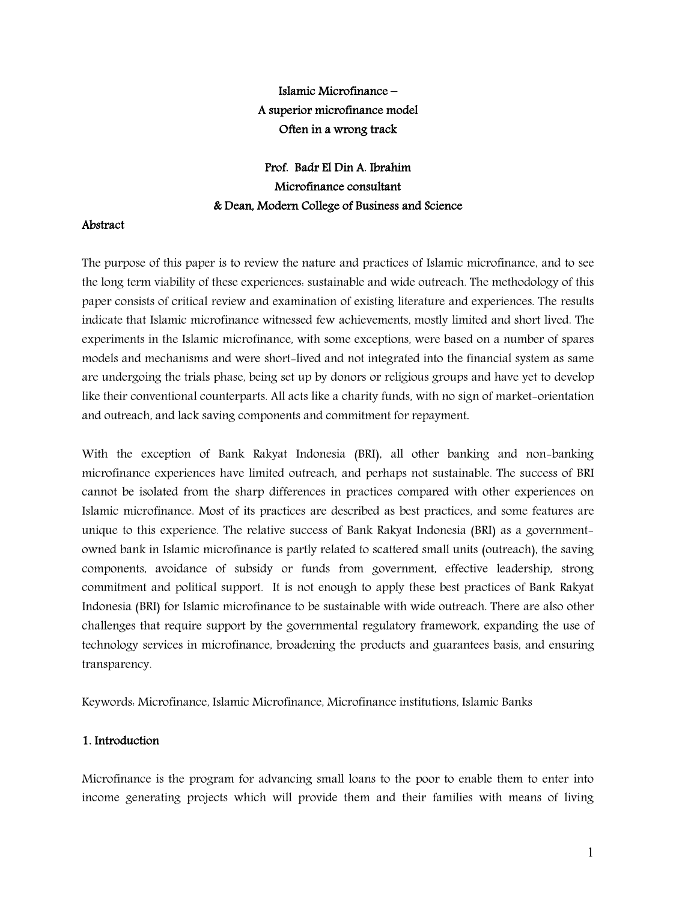# **Islamic Microfinance – A superior microfinance model Often in a wrong track**

# **Prof. Badr El Din A. Ibrahim Microfinance consultant & Dean, Modern College of Business and Science**

## **Abstract**

The purpose of this paper is to review the nature and practices of Islamic microfinance, and to see the long term viability of these experiences: sustainable and wide outreach. The methodology of this paper consists of critical review and examination of existing literature and experiences. The results indicate that Islamic microfinance witnessed few achievements, mostly limited and short lived. The experiments in the Islamic microfinance, with some exceptions, were based on a number of spares models and mechanisms and were short-lived and not integrated into the financial system as same are undergoing the trials phase, being set up by donors or religious groups and have yet to develop like their conventional counterparts. All acts like a charity funds, with no sign of market-orientation and outreach, and lack saving components and commitment for repayment.

With the exception of Bank Rakyat Indonesia (BRI), all other banking and non-banking microfinance experiences have limited outreach, and perhaps not sustainable. The success of BRI cannot be isolated from the sharp differences in practices compared with other experiences on Islamic microfinance. Most of its practices are described as best practices, and some features are unique to this experience. The relative success of Bank Rakyat Indonesia (BRI) as a governmentowned bank in Islamic microfinance is partly related to scattered small units (outreach), the saving components, avoidance of subsidy or funds from government, effective leadership, strong commitment and political support. It is not enough to apply these best practices of Bank Rakyat Indonesia (BRI) for Islamic microfinance to be sustainable with wide outreach. There are also other challenges that require support by the governmental regulatory framework, expanding the use of technology services in microfinance, broadening the products and guarantees basis, and ensuring transparency.

Keywords: Microfinance, Islamic Microfinance, Microfinance institutions, Islamic Banks

# **1. Introduction**

Microfinance is the program for advancing small loans to the poor to enable them to enter into income generating projects which will provide them and their families with means of living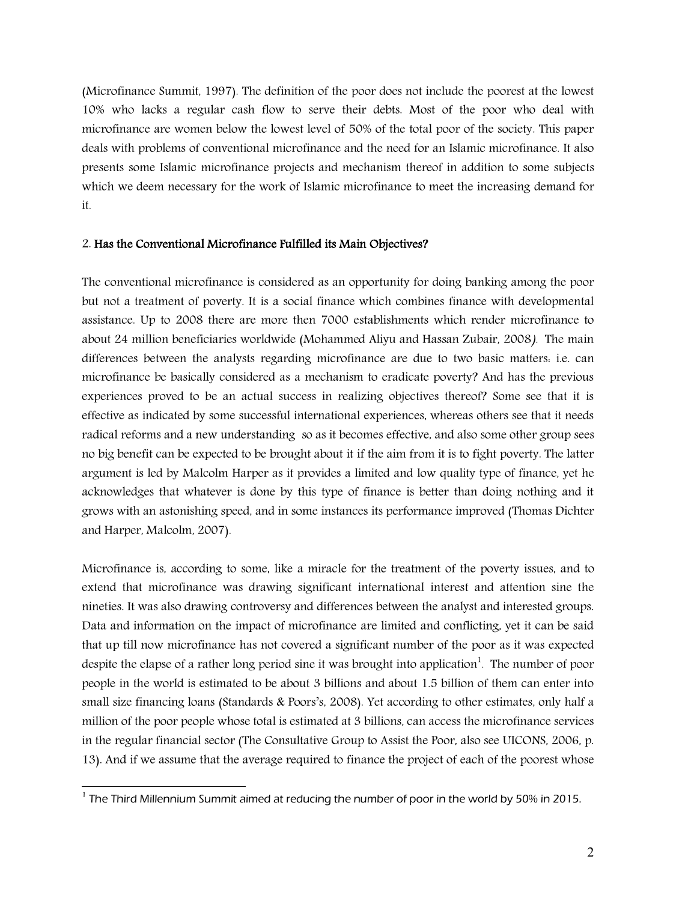(Microfinance Summit, 1997). The definition of the poor does not include the poorest at the lowest 10% who lacks a regular cash flow to serve their debts. Most of the poor who deal with microfinance are women below the lowest level of 50% of the total poor of the society. This paper deals with problems of conventional microfinance and the need for an Islamic microfinance. It also presents some Islamic microfinance projects and mechanism thereof in addition to some subjects which we deem necessary for the work of Islamic microfinance to meet the increasing demand for it.

#### 2. **Has the Conventional Microfinance Fulfilled its Main Objectives?**

The conventional microfinance is considered as an opportunity for doing banking among the poor but not a treatment of poverty. It is a social finance which combines finance with developmental assistance. Up to 2008 there are more then 7000 establishments which render microfinance to about 24 million beneficiaries worldwide (Mohammed Aliyu and Hassan Zubair, 2008*).* The main differences between the analysts regarding microfinance are due to two basic matters: i.e. can microfinance be basically considered as a mechanism to eradicate poverty? And has the previous experiences proved to be an actual success in realizing objectives thereof? Some see that it is effective as indicated by some successful international experiences, whereas others see that it needs radical reforms and a new understanding so as it becomes effective, and also some other group sees no big benefit can be expected to be brought about it if the aim from it is to fight poverty. The latter argument is led by Malcolm Harper as it provides a limited and low quality type of finance, yet he acknowledges that whatever is done by this type of finance is better than doing nothing and it grows with an astonishing speed, and in some instances its performance improved (Thomas Dichter and Harper, Malcolm, 2007).

Microfinance is, according to some, like a miracle for the treatment of the poverty issues, and to extend that microfinance was drawing significant international interest and attention sine the nineties. It was also drawing controversy and differences between the analyst and interested groups. Data and information on the impact of microfinance are limited and conflicting, yet it can be said that up till now microfinance has not covered a significant number of the poor as it was expected despite the elapse of a rather long period sine it was brought into application $^1$ . The number of poor people in the world is estimated to be about 3 billions and about 1.5 billion of them can enter into small size financing loans (Standards & Poors's, 2008). Yet according to other estimates, only half a million of the poor people whose total is estimated at 3 billions, can access the microfinance services in the regular financial sector (The Consultative Group to Assist the Poor, also see UICONS, 2006, p. 13). And if we assume that the average required to finance the project of each of the poorest whose

 1 The Third Millennium Summit aimed at reducing the number of poor in the world by 50% in 2015.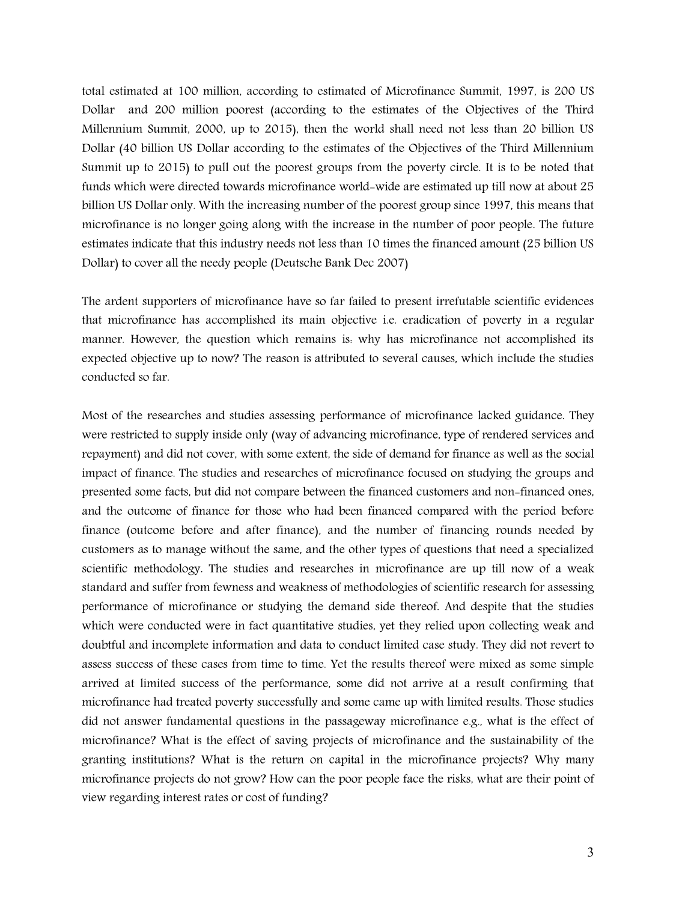total estimated at 100 million, according to estimated of Microfinance Summit, 1997, is 200 US Dollar and 200 million poorest (according to the estimates of the Objectives of the Third Millennium Summit, 2000, up to 2015), then the world shall need not less than 20 billion US Dollar (40 billion US Dollar according to the estimates of the Objectives of the Third Millennium Summit up to 2015) to pull out the poorest groups from the poverty circle. It is to be noted that funds which were directed towards microfinance world-wide are estimated up till now at about 25 billion US Dollar only. With the increasing number of the poorest group since 1997, this means that microfinance is no longer going along with the increase in the number of poor people. The future estimates indicate that this industry needs not less than 10 times the financed amount (25 billion US Dollar) to cover all the needy people (Deutsche Bank Dec 2007)

The ardent supporters of microfinance have so far failed to present irrefutable scientific evidences that microfinance has accomplished its main objective i.e. eradication of poverty in a regular manner. However, the question which remains is: why has microfinance not accomplished its expected objective up to now? The reason is attributed to several causes, which include the studies conducted so far.

Most of the researches and studies assessing performance of microfinance lacked guidance. They were restricted to supply inside only (way of advancing microfinance, type of rendered services and repayment) and did not cover, with some extent, the side of demand for finance as well as the social impact of finance. The studies and researches of microfinance focused on studying the groups and presented some facts, but did not compare between the financed customers and non-financed ones, and the outcome of finance for those who had been financed compared with the period before finance (outcome before and after finance), and the number of financing rounds needed by customers as to manage without the same, and the other types of questions that need a specialized scientific methodology. The studies and researches in microfinance are up till now of a weak standard and suffer from fewness and weakness of methodologies of scientific research for assessing performance of microfinance or studying the demand side thereof. And despite that the studies which were conducted were in fact quantitative studies, yet they relied upon collecting weak and doubtful and incomplete information and data to conduct limited case study. They did not revert to assess success of these cases from time to time. Yet the results thereof were mixed as some simple arrived at limited success of the performance, some did not arrive at a result confirming that microfinance had treated poverty successfully and some came up with limited results. Those studies did not answer fundamental questions in the passageway microfinance e.g., what is the effect of microfinance? What is the effect of saving projects of microfinance and the sustainability of the granting institutions? What is the return on capital in the microfinance projects? Why many microfinance projects do not grow? How can the poor people face the risks, what are their point of view regarding interest rates or cost of funding?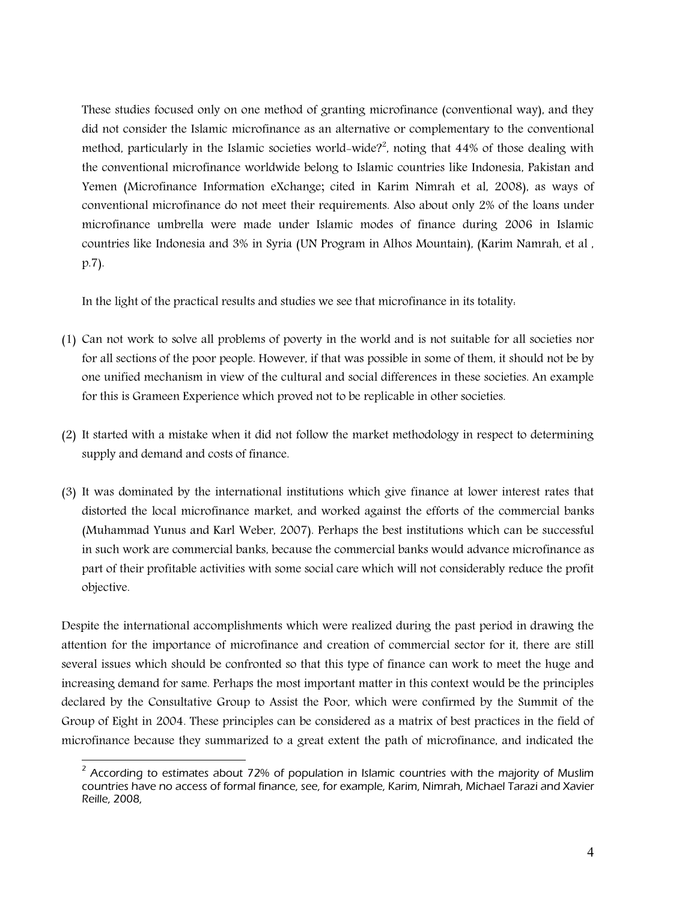These studies focused only on one method of granting microfinance (conventional way), and they did not consider the Islamic microfinance as an alternative or complementary to the conventional method, particularly in the Islamic societies world-wide?<sup>2</sup>, noting that  $44\%$  of those dealing with the conventional microfinance worldwide belong to Islamic countries like Indonesia, Pakistan and Yemen (Microfinance Information eXchange; cited in Karim Nimrah et al, 2008), as ways of conventional microfinance do not meet their requirements. Also about only 2% of the loans under microfinance umbrella were made under Islamic modes of finance during 2006 in Islamic countries like Indonesia and 3% in Syria (UN Program in Alhos Mountain), (Karim Namrah, et al , p.7).

In the light of the practical results and studies we see that microfinance in its totality:

- (1) Can not work to solve all problems of poverty in the world and is not suitable for all societies nor for all sections of the poor people. However, if that was possible in some of them, it should not be by one unified mechanism in view of the cultural and social differences in these societies. An example for this is Grameen Experience which proved not to be replicable in other societies.
- (2) It started with a mistake when it did not follow the market methodology in respect to determining supply and demand and costs of finance.
- (3) It was dominated by the international institutions which give finance at lower interest rates that distorted the local microfinance market, and worked against the efforts of the commercial banks (Muhammad Yunus and Karl Weber, 2007). Perhaps the best institutions which can be successful in such work are commercial banks, because the commercial banks would advance microfinance as part of their profitable activities with some social care which will not considerably reduce the profit objective.

Despite the international accomplishments which were realized during the past period in drawing the attention for the importance of microfinance and creation of commercial sector for it, there are still several issues which should be confronted so that this type of finance can work to meet the huge and increasing demand for same. Perhaps the most important matter in this context would be the principles declared by the Consultative Group to Assist the Poor, which were confirmed by the Summit of the Group of Eight in 2004. These principles can be considered as a matrix of best practices in the field of microfinance because they summarized to a great extent the path of microfinance, and indicated the

 $\overline{\phantom{a}}$  $2$  According to estimates about 72% of population in Islamic countries with the majority of Muslim countries have no access of formal finance, see, for example, Karim, Nimrah, Michael Tarazi and Xavier Reille, 2008,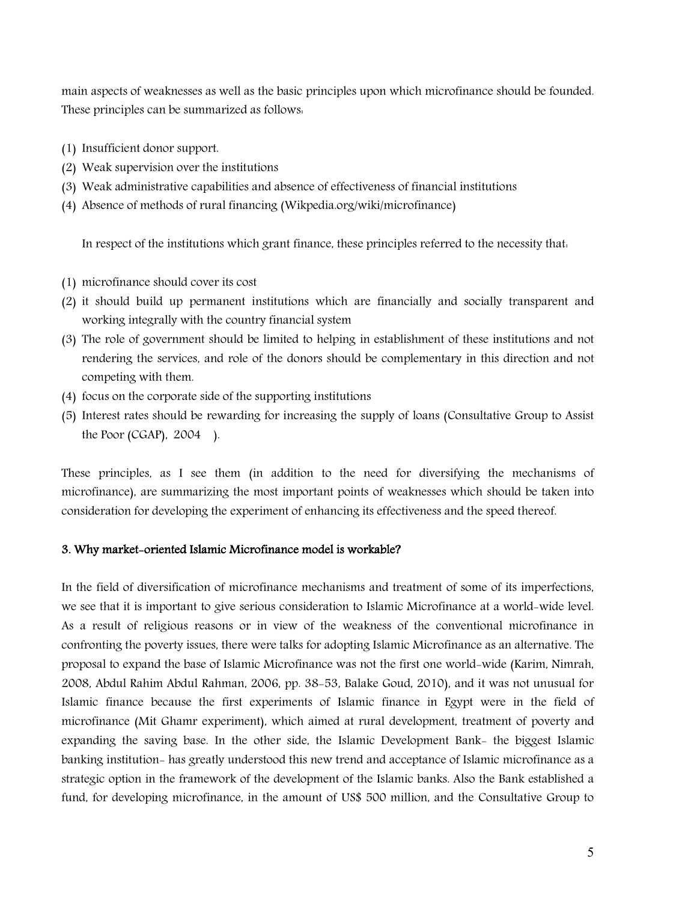main aspects of weaknesses as well as the basic principles upon which microfinance should be founded. These principles can be summarized as follows:

- (1) Insufficient donor support.
- (2) Weak supervision over the institutions
- (3) Weak administrative capabilities and absence of effectiveness of financial institutions
- (4) Absence of methods of rural financing (Wikpedia.org/wiki/microfinance)

In respect of the institutions which grant finance, these principles referred to the necessity that:

- (1) microfinance should cover its cost
- (2) it should build up permanent institutions which are financially and socially transparent and working integrally with the country financial system
- (3) The role of government should be limited to helping in establishment of these institutions and not rendering the services, and role of the donors should be complementary in this direction and not competing with them.
- (4) focus on the corporate side of the supporting institutions
- (5) Interest rates should be rewarding for increasing the supply of loans (Consultative Group to Assist the Poor  $(CGAP)$ , 2004).

These principles, as I see them (in addition to the need for diversifying the mechanisms of microfinance), are summarizing the most important points of weaknesses which should be taken into consideration for developing the experiment of enhancing its effectiveness and the speed thereof.

#### **3. Why market-oriented Islamic Microfinance model is workable?**

In the field of diversification of microfinance mechanisms and treatment of some of its imperfections, we see that it is important to give serious consideration to Islamic Microfinance at a world-wide level. As a result of religious reasons or in view of the weakness of the conventional microfinance in confronting the poverty issues, there were talks for adopting Islamic Microfinance as an alternative. The proposal to expand the base of Islamic Microfinance was not the first one world-wide (Karim, Nimrah, 2008, Abdul Rahim Abdul Rahman, 2006, pp. 38-53, Balake Goud, 2010), and it was not unusual for Islamic finance because the first experiments of Islamic finance in Egypt were in the field of microfinance (Mit Ghamr experiment), which aimed at rural development, treatment of poverty and expanding the saving base. In the other side, the Islamic Development Bank- the biggest Islamic banking institution- has greatly understood this new trend and acceptance of Islamic microfinance as a strategic option in the framework of the development of the Islamic banks. Also the Bank established a fund, for developing microfinance, in the amount of US\$ 500 million, and the Consultative Group to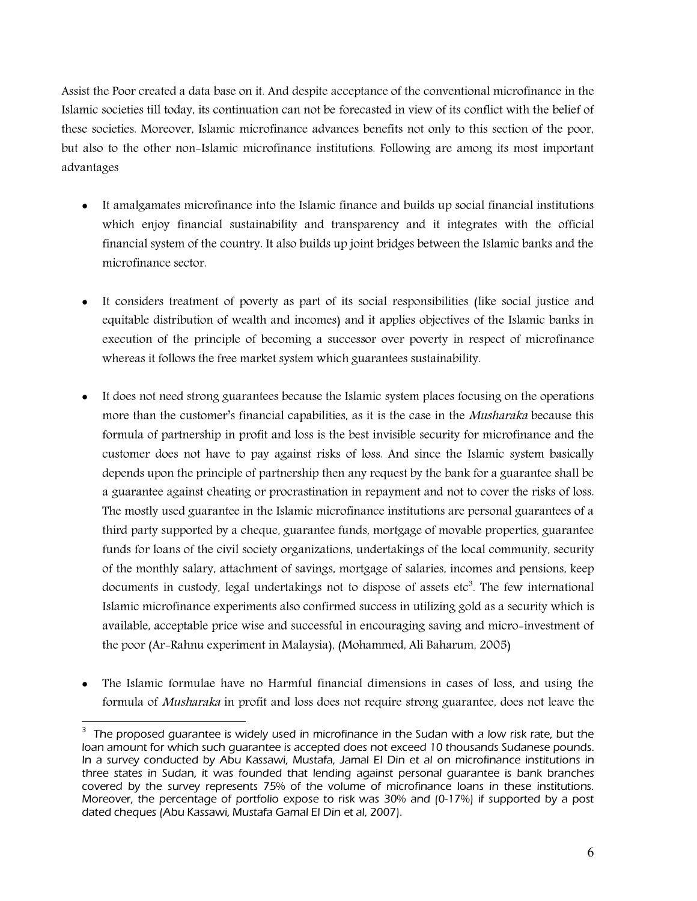Assist the Poor created a data base on it. And despite acceptance of the conventional microfinance in the Islamic societies till today, its continuation can not be forecasted in view of its conflict with the belief of these societies. Moreover, Islamic microfinance advances benefits not only to this section of the poor, but also to the other non-Islamic microfinance institutions. Following are among its most important advantages

- It amalgamates microfinance into the Islamic finance and builds up social financial institutions which enjoy financial sustainability and transparency and it integrates with the official financial system of the country. It also builds up joint bridges between the Islamic banks and the microfinance sector.
- It considers treatment of poverty as part of its social responsibilities (like social justice and equitable distribution of wealth and incomes) and it applies objectives of the Islamic banks in execution of the principle of becoming a successor over poverty in respect of microfinance whereas it follows the free market system which guarantees sustainability.
- It does not need strong guarantees because the Islamic system places focusing on the operations more than the customer's financial capabilities, as it is the case in the *Musharaka* because this formula of partnership in profit and loss is the best invisible security for microfinance and the customer does not have to pay against risks of loss. And since the Islamic system basically depends upon the principle of partnership then any request by the bank for a guarantee shall be a guarantee against cheating or procrastination in repayment and not to cover the risks of loss. The mostly used guarantee in the Islamic microfinance institutions are personal guarantees of a third party supported by a cheque, guarantee funds, mortgage of movable properties, guarantee funds for loans of the civil society organizations, undertakings of the local community, security of the monthly salary, attachment of savings, mortgage of salaries, incomes and pensions, keep documents in custody, legal undertakings not to dispose of assets  $etc<sup>3</sup>$ . The few international Islamic microfinance experiments also confirmed success in utilizing gold as a security which is available, acceptable price wise and successful in encouraging saving and micro-investment of the poor (Ar-Rahnu experiment in Malaysia), (Mohammed, Ali Baharum, 2005)
- The Islamic formulae have no Harmful financial dimensions in cases of loss, and using the formula of *Musharaka* in profit and loss does not require strong guarantee, does not leave the

 3 The proposed guarantee is widely used in microfinance in the Sudan with a low risk rate, but the loan amount for which such guarantee is accepted does not exceed 10 thousands Sudanese pounds. In a survey conducted by Abu Kassawi, Mustafa, Jamal El Din et al on microfinance institutions in three states in Sudan, it was founded that lending against personal guarantee is bank branches covered by the survey represents 75% of the volume of microfinance loans in these institutions. Moreover, the percentage of portfolio expose to risk was 30% and (0-17%) if supported by a post dated cheques (Abu Kassawi, Mustafa Gamal El Din et al, 2007).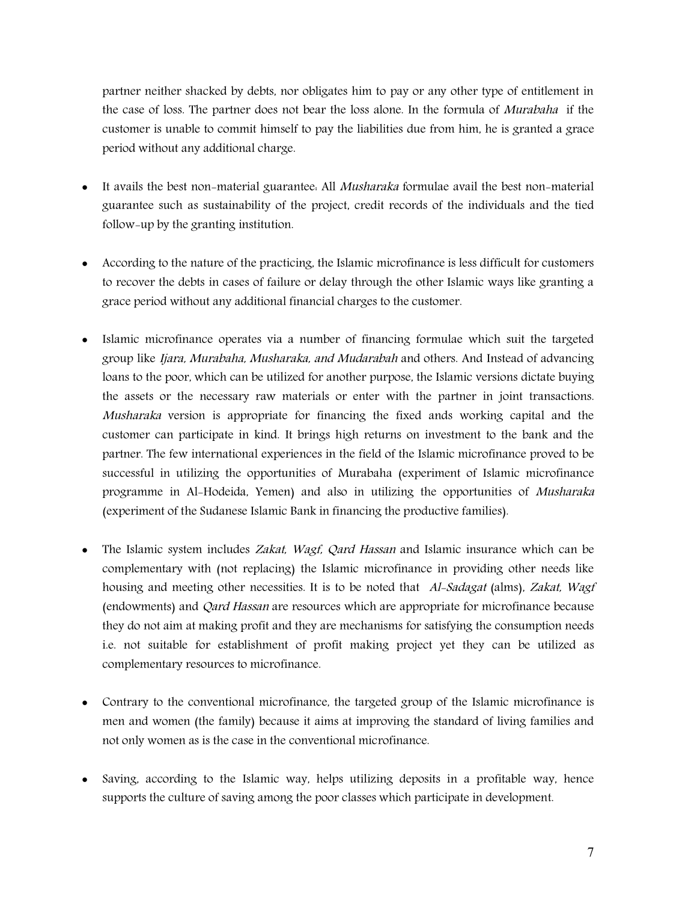partner neither shacked by debts, nor obligates him to pay or any other type of entitlement in the case of loss. The partner does not bear the loss alone. In the formula of *Murabaha* if the customer is unable to commit himself to pay the liabilities due from him, he is granted a grace period without any additional charge.

- It avails the best non-material guarantee: All *Musharaka* formulae avail the best non-material guarantee such as sustainability of the project, credit records of the individuals and the tied follow-up by the granting institution.
- According to the nature of the practicing, the Islamic microfinance is less difficult for customers to recover the debts in cases of failure or delay through the other Islamic ways like granting a grace period without any additional financial charges to the customer.
- Islamic microfinance operates via a number of financing formulae which suit the targeted group like *Ijara, Murabaha, Musharaka, and Mudarabah* and others. And Instead of advancing loans to the poor, which can be utilized for another purpose, the Islamic versions dictate buying the assets or the necessary raw materials or enter with the partner in joint transactions. *Musharaka* version is appropriate for financing the fixed ands working capital and the customer can participate in kind. It brings high returns on investment to the bank and the partner. The few international experiences in the field of the Islamic microfinance proved to be successful in utilizing the opportunities of Murabaha (experiment of Islamic microfinance programme in Al-Hodeida, Yemen) and also in utilizing the opportunities of *Musharaka* (experiment of the Sudanese Islamic Bank in financing the productive families).
- The Islamic system includes *Zakat, Wagf, Qard Hassan* and Islamic insurance which can be complementary with (not replacing) the Islamic microfinance in providing other needs like housing and meeting other necessities. It is to be noted that *Al-Sadagat* (alms), *Zakat, Wagf* (endowments) and *Qard Hassan* are resources which are appropriate for microfinance because they do not aim at making profit and they are mechanisms for satisfying the consumption needs i.e. not suitable for establishment of profit making project yet they can be utilized as complementary resources to microfinance.
- Contrary to the conventional microfinance, the targeted group of the Islamic microfinance is men and women (the family) because it aims at improving the standard of living families and not only women as is the case in the conventional microfinance.
- Saving, according to the Islamic way, helps utilizing deposits in a profitable way, hence supports the culture of saving among the poor classes which participate in development.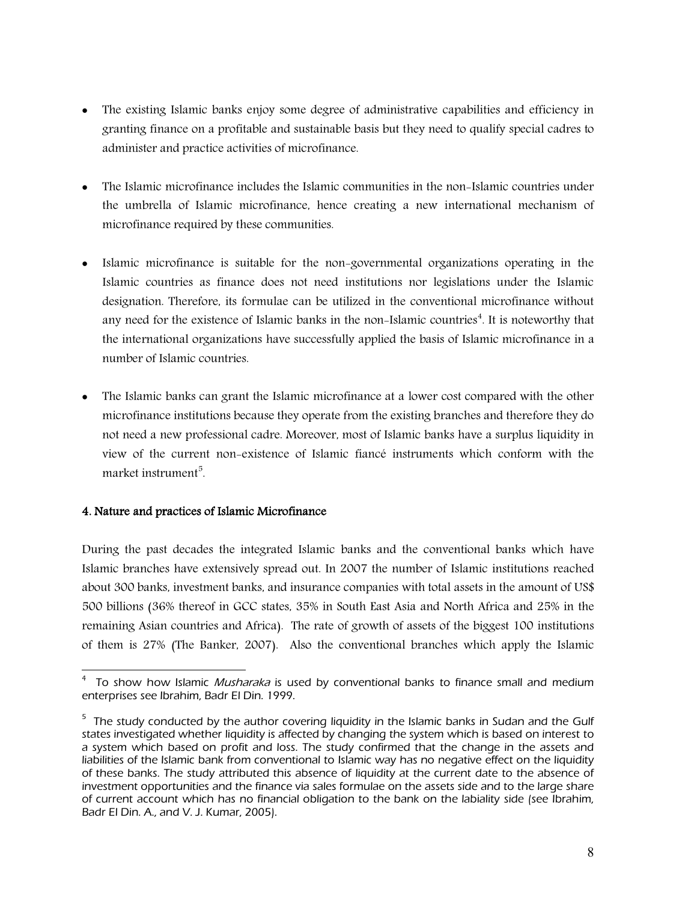- The existing Islamic banks enjoy some degree of administrative capabilities and efficiency in granting finance on a profitable and sustainable basis but they need to qualify special cadres to administer and practice activities of microfinance.
- The Islamic microfinance includes the Islamic communities in the non-Islamic countries under the umbrella of Islamic microfinance, hence creating a new international mechanism of microfinance required by these communities.
- Islamic microfinance is suitable for the non-governmental organizations operating in the Islamic countries as finance does not need institutions nor legislations under the Islamic designation. Therefore, its formulae can be utilized in the conventional microfinance without any need for the existence of Islamic banks in the non-Islamic countries<sup>4</sup>. It is noteworthy that the international organizations have successfully applied the basis of Islamic microfinance in a number of Islamic countries.
- The Islamic banks can grant the Islamic microfinance at a lower cost compared with the other microfinance institutions because they operate from the existing branches and therefore they do not need a new professional cadre. Moreover, most of Islamic banks have a surplus liquidity in view of the current non-existence of Islamic fiancé instruments which conform with the market instrument<sup>5</sup>.

# **4. Nature and practices of Islamic Microfinance**

During the past decades the integrated Islamic banks and the conventional banks which have Islamic branches have extensively spread out. In 2007 the number of Islamic institutions reached about 300 banks, investment banks, and insurance companies with total assets in the amount of US\$ 500 billions (36% thereof in GCC states, 35% in South East Asia and North Africa and 25% in the remaining Asian countries and Africa). The rate of growth of assets of the biggest 100 institutions of them is 27% (The Banker, 2007). Also the conventional branches which apply the Islamic

 4 To show how Islamic *Musharaka* is used by conventional banks to finance small and medium enterprises see Ibrahim, Badr El Din. 1999.

 $^{\rm 5}$  The study conducted by the author covering liquidity in the Islamic banks in Sudan and the Gulf states investigated whether liquidity is affected by changing the system which is based on interest to a system which based on profit and loss. The study confirmed that the change in the assets and liabilities of the Islamic bank from conventional to Islamic way has no negative effect on the liquidity of these banks. The study attributed this absence of liquidity at the current date to the absence of investment opportunities and the finance via sales formulae on the assets side and to the large share of current account which has no financial obligation to the bank on the labiality side (see Ibrahim, Badr El Din. A., and V. J. Kumar, 2005).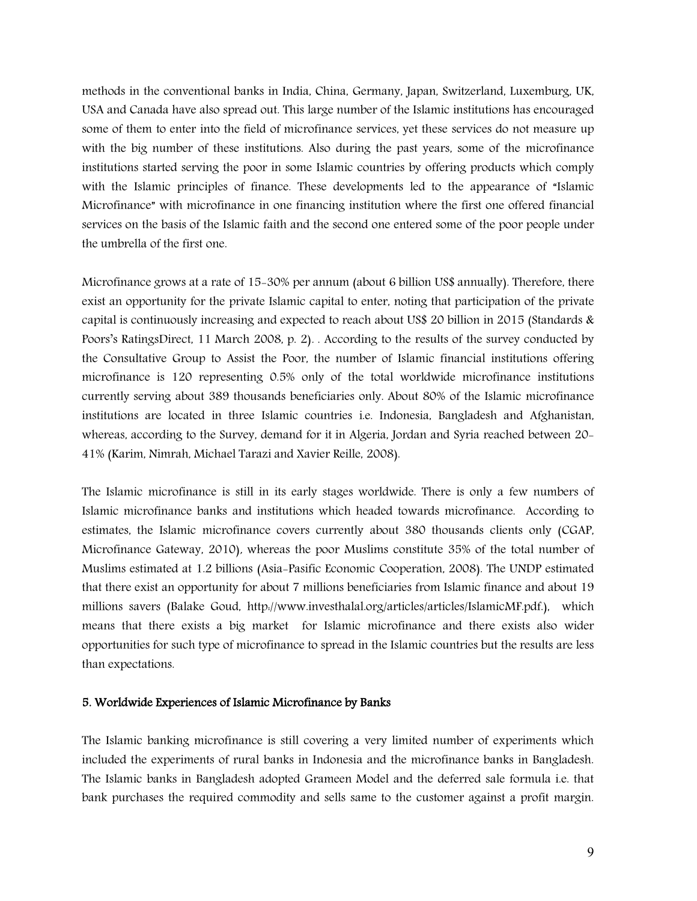methods in the conventional banks in India, China, Germany, Japan, Switzerland, Luxemburg, UK, USA and Canada have also spread out. This large number of the Islamic institutions has encouraged some of them to enter into the field of microfinance services, yet these services do not measure up with the big number of these institutions. Also during the past years, some of the microfinance institutions started serving the poor in some Islamic countries by offering products which comply with the Islamic principles of finance. These developments led to the appearance of "Islamic Microfinance" with microfinance in one financing institution where the first one offered financial services on the basis of the Islamic faith and the second one entered some of the poor people under the umbrella of the first one.

Microfinance grows at a rate of 15-30% per annum (about 6 billion US\$ annually). Therefore, there exist an opportunity for the private Islamic capital to enter, noting that participation of the private capital is continuously increasing and expected to reach about US\$ 20 billion in 2015 (Standards & Poors's RatingsDirect, 11 March 2008, p. 2)*.* . According to the results of the survey conducted by the Consultative Group to Assist the Poor, the number of Islamic financial institutions offering microfinance is 120 representing 0.5% only of the total worldwide microfinance institutions currently serving about 389 thousands beneficiaries only. About 80% of the Islamic microfinance institutions are located in three Islamic countries i.e. Indonesia, Bangladesh and Afghanistan, whereas, according to the Survey, demand for it in Algeria, Jordan and Syria reached between 20- 41% (Karim, Nimrah, Michael Tarazi and Xavier Reille, 2008).

The Islamic microfinance is still in its early stages worldwide. There is only a few numbers of Islamic microfinance banks and institutions which headed towards microfinance. According to estimates, the Islamic microfinance covers currently about 380 thousands clients only (CGAP, Microfinance Gateway, 2010)*,* whereas the poor Muslims constitute 35% of the total number of Muslims estimated at 1.2 billions (Asia-Pasific Economic Cooperation, 2008). The UNDP estimated that there exist an opportunity for about 7 millions beneficiaries from Islamic finance and about 19 millions savers (Balake Goud, http://www.investhalal.org/articles/articles/IslamicMF.pdf.), which means that there exists a big market for Islamic microfinance and there exists also wider opportunities for such type of microfinance to spread in the Islamic countries but the results are less than expectations.

#### **5. Worldwide Experiences of Islamic Microfinance by Banks**

The Islamic banking microfinance is still covering a very limited number of experiments which included the experiments of rural banks in Indonesia and the microfinance banks in Bangladesh. The Islamic banks in Bangladesh adopted Grameen Model and the deferred sale formula i.e. that bank purchases the required commodity and sells same to the customer against a profit margin.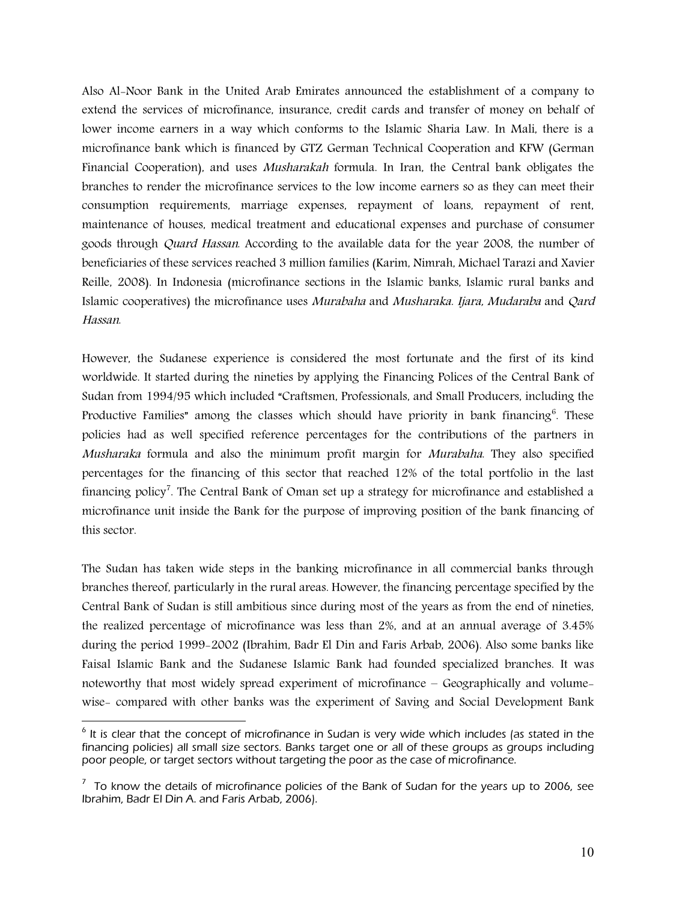Also Al-Noor Bank in the United Arab Emirates announced the establishment of a company to extend the services of microfinance, insurance, credit cards and transfer of money on behalf of lower income earners in a way which conforms to the Islamic Sharia Law. In Mali, there is a microfinance bank which is financed by GTZ German Technical Cooperation and KFW (German Financial Cooperation), and uses *Musharakah* formula. In Iran, the Central bank obligates the branches to render the microfinance services to the low income earners so as they can meet their consumption requirements, marriage expenses, repayment of loans, repayment of rent, maintenance of houses, medical treatment and educational expenses and purchase of consumer goods through *Quard Hassan*. According to the available data for the year 2008, the number of beneficiaries of these services reached 3 million families (Karim, Nimrah, Michael Tarazi and Xavier Reille, 2008). In Indonesia (microfinance sections in the Islamic banks, Islamic rural banks and Islamic cooperatives) the microfinance uses *Murabaha* and *Musharaka. Ijara, Mudaraba* and *Qard Hassan*.

However, the Sudanese experience is considered the most fortunate and the first of its kind worldwide. It started during the nineties by applying the Financing Polices of the Central Bank of Sudan from 1994/95 which included "Craftsmen, Professionals, and Small Producers, including the Productive Families" among the classes which should have priority in bank financing<sup>6</sup>. These policies had as well specified reference percentages for the contributions of the partners in *Musharaka* formula and also the minimum profit margin for *Murabaha*. They also specified percentages for the financing of this sector that reached 12% of the total portfolio in the last financing policy<sup>7</sup>. The Central Bank of Oman set up a strategy for microfinance and established a microfinance unit inside the Bank for the purpose of improving position of the bank financing of this sector.

The Sudan has taken wide steps in the banking microfinance in all commercial banks through branches thereof, particularly in the rural areas. However, the financing percentage specified by the Central Bank of Sudan is still ambitious since during most of the years as from the end of nineties, the realized percentage of microfinance was less than 2%, and at an annual average of 3.45% during the period 1999-2002 (Ibrahim, Badr El Din and Faris Arbab, 2006). Also some banks like Faisal Islamic Bank and the Sudanese Islamic Bank had founded specialized branches. It was noteworthy that most widely spread experiment of microfinance – Geographically and volumewise- compared with other banks was the experiment of Saving and Social Development Bank

<sup>&</sup>lt;u>end is clear that the concept of microfinance in Sudan is very wide which includes (as stated in the use of the s</u> financing policies) all small size sectors. Banks target one or all of these groups as groups including poor people, or target sectors without targeting the poor as the case of microfinance.

 $^7$  To know the details of microfinance policies of the Bank of Sudan for the years up to 2006, see Ibrahim, Badr El Din A. and Faris Arbab, 2006).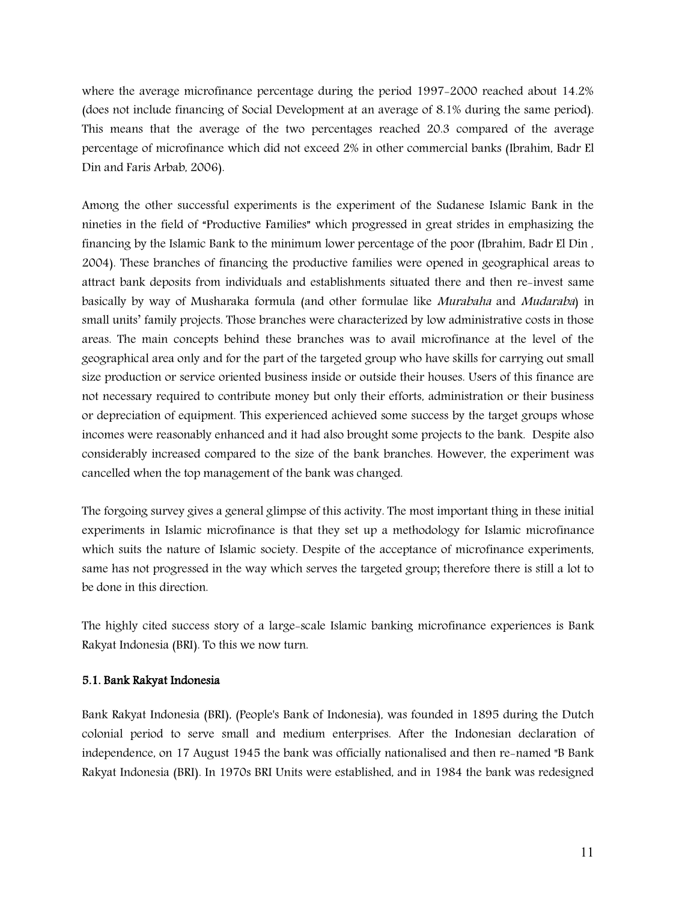where the average microfinance percentage during the period 1997-2000 reached about 14.2% (does not include financing of Social Development at an average of 8.1% during the same period). This means that the average of the two percentages reached 20.3 compared of the average percentage of microfinance which did not exceed 2% in other commercial banks (Ibrahim, Badr El Din and Faris Arbab, 2006).

Among the other successful experiments is the experiment of the Sudanese Islamic Bank in the nineties in the field of "Productive Families" which progressed in great strides in emphasizing the financing by the Islamic Bank to the minimum lower percentage of the poor (Ibrahim, Badr El Din , 2004). These branches of financing the productive families were opened in geographical areas to attract bank deposits from individuals and establishments situated there and then re-invest same basically by way of Musharaka formula (and other formulae like *Murabaha* and *Mudaraba*) in small units' family projects. Those branches were characterized by low administrative costs in those areas. The main concepts behind these branches was to avail microfinance at the level of the geographical area only and for the part of the targeted group who have skills for carrying out small size production or service oriented business inside or outside their houses. Users of this finance are not necessary required to contribute money but only their efforts, administration or their business or depreciation of equipment. This experienced achieved some success by the target groups whose incomes were reasonably enhanced and it had also brought some projects to the bank. Despite also considerably increased compared to the size of the bank branches. However, the experiment was cancelled when the top management of the bank was changed.

The forgoing survey gives a general glimpse of this activity. The most important thing in these initial experiments in Islamic microfinance is that they set up a methodology for Islamic microfinance which suits the nature of Islamic society. Despite of the acceptance of microfinance experiments, same has not progressed in the way which serves the targeted group; therefore there is still a lot to be done in this direction.

The highly cited success story of a large-scale Islamic banking microfinance experiences is Bank Rakyat Indonesia (BRI). To this we now turn.

# **5.1. Bank Rakyat Indonesia**

Bank Rakyat Indonesia (BRI), (People's Bank of Indonesia), was founded in 1895 during the Dutch colonial period to serve small and medium enterprises. After the Indonesian declaration of independence, on 17 August 1945 the bank was officially nationalised and then re-named "B Bank Rakyat Indonesia (BRI). In 1970s BRI Units were established, and in 1984 the bank was redesigned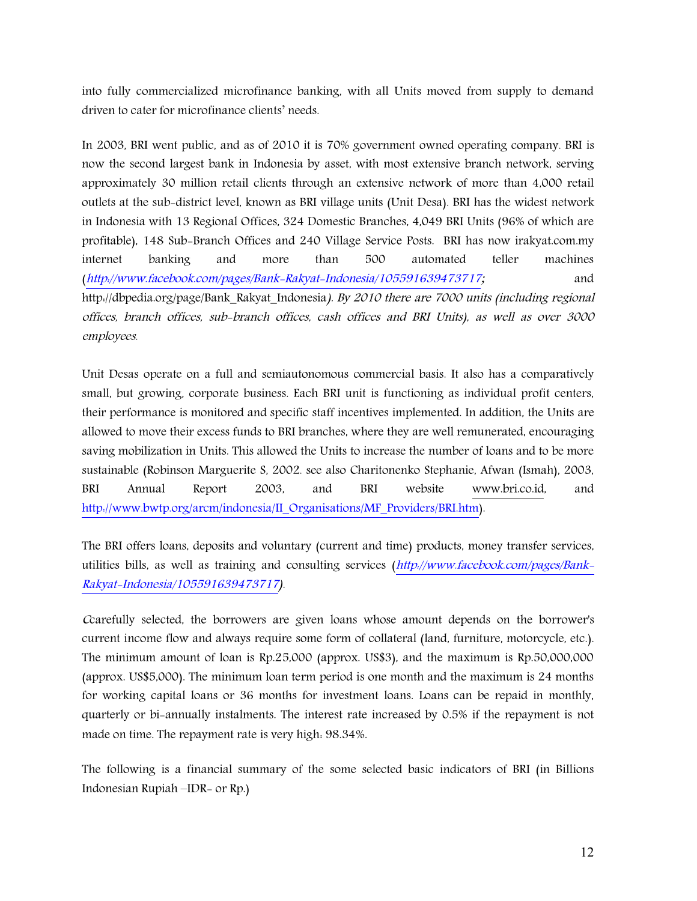into fully commercialized microfinance banking, with all Units moved from supply to demand driven to cater for microfinance clients' needs.

In 2003, BRI went public, and as of 2010 it is 70% government owned operating company. BRI is now the second largest bank in Indonesia by asset, with most extensive branch network, serving approximately 30 million retail clients through an extensive network of more than 4,000 retail outlets at the sub-district level, known as BRI village units (Unit Desa). BRI has the widest network in Indonesia with 13 Regional Offices, 324 Domestic Branches, 4,049 BRI Units (96% of which are profitable), 148 Sub-Branch Offices and 240 Village Service Posts. BRI has now irakyat.com.my internet banking and more than 500 automated teller machines (*http://www.facebook.com/pages/Bank-Rakyat-Indonesia/105591639473717;* and http://dbpedia.org/page/Bank\_Rakyat\_Indonesia*). By 2010 there are 7000 units (including regional offices, branch offices, sub-branch offices, cash offices and BRI Units), as well as over 3000 employees.*

Unit Desas operate on a full and semiautonomous commercial basis. It also has a comparatively small, but growing, corporate business. Each BRI unit is functioning as individual profit centers, their performance is monitored and specific staff incentives implemented. In addition, the Units are allowed to move their excess funds to BRI branches, where they are well remunerated, encouraging saving mobilization in Units. This allowed the Units to increase the number of loans and to be more sustainable (Robinson Marguerite S, 2002. see also Charitonenko Stephanie, Afwan (Ismah), 2003, BRI Annual Report 2003, and BRI website www.bri.co.id, and http://www.bwtp.org/arcm/indonesia/II\_Organisations/MF\_Providers/BRI.htm).

The BRI offers loans, deposits and voluntary (current and time) products, money transfer services, utilities bills, as well as training and consulting services (*http://www.facebook.com/pages/Bank-Rakyat-Indonesia/105591639473717).* 

*<sup>C</sup>*carefully selected, the borrowers are given loans whose amount depends on the borrower's current income flow and always require some form of collateral (land, furniture, motorcycle, etc.). The minimum amount of loan is Rp.25,000 (approx. US\$3), and the maximum is Rp.50,000,000 (approx. US\$5,000). The minimum loan term period is one month and the maximum is 24 months for working capital loans or 36 months for investment loans. Loans can be repaid in monthly, quarterly or bi-annually instalments. The interest rate increased by 0.5% if the repayment is not made on time. The repayment rate is very high: 98.34%.

The following is a financial summary of the some selected basic indicators of BRI (in Billions Indonesian Rupiah –IDR- or Rp.)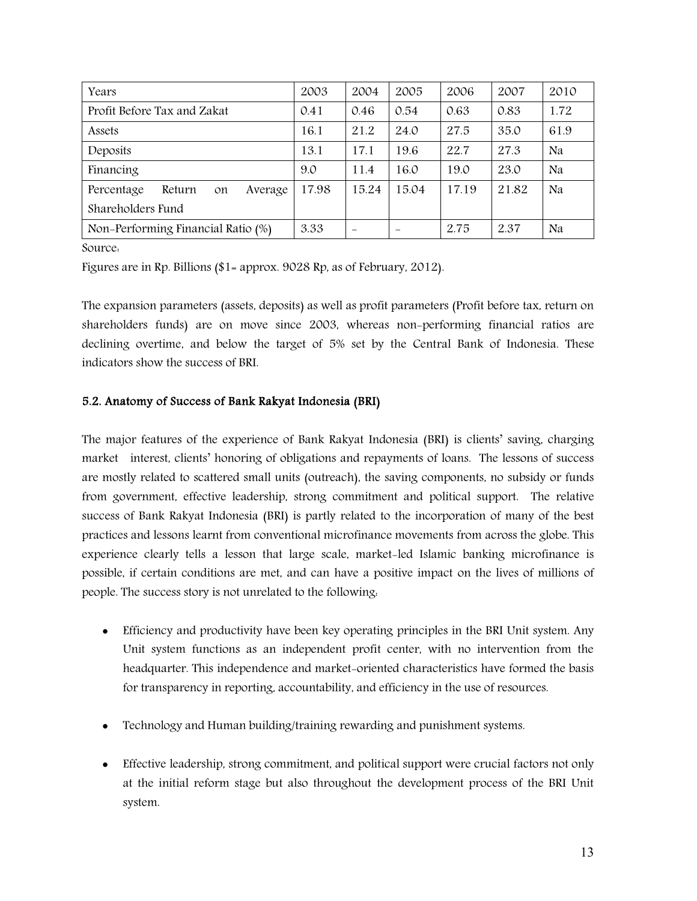| Years                                 | 2003  | 2004                     | 2005  | 2006  | 2007  | 2010 |
|---------------------------------------|-------|--------------------------|-------|-------|-------|------|
| Profit Before Tax and Zakat           | 0.41  | 0.46                     | 0.54  | 0.63  | 0.83  | 1.72 |
| Assets                                | 16.1  | 21.2                     | 24.0  | 27.5  | 35.0  | 61.9 |
| Deposits                              | 13.1  | 17.1                     | 19.6  | 22.7  | 27.3  | Na   |
| Financing                             | 9.0   | 11.4                     | 16.0  | 19.0  | 23.0  | Na   |
| Percentage<br>Return<br>Average<br>on | 17.98 | 15.24                    | 15.04 | 17.19 | 21.82 | Na   |
| Shareholders Fund                     |       |                          |       |       |       |      |
| Non-Performing Financial Ratio (%)    | 3.33  | $\overline{\phantom{0}}$ |       | 2.75  | 2.37  | Na   |

Source:

Figures are in Rp. Billions (\$1= approx. 9028 Rp, as of February, 2012).

The expansion parameters (assets, deposits) as well as profit parameters (Profit before tax, return on shareholders funds) are on move since 2003, whereas non-performing financial ratios are declining overtime, and below the target of 5% set by the Central Bank of Indonesia. These indicators show the success of BRI.

# **5.2. Anatomy of Success of Bank Rakyat Indonesia (BRI)**

The major features of the experience of Bank Rakyat Indonesia (BRI) is clients' saving, charging market interest, clients' honoring of obligations and repayments of loans. The lessons of success are mostly related to scattered small units (outreach), the saving components, no subsidy or funds from government, effective leadership, strong commitment and political support. The relative success of Bank Rakyat Indonesia (BRI) is partly related to the incorporation of many of the best practices and lessons learnt from conventional microfinance movements from across the globe. This experience clearly tells a lesson that large scale, market-led Islamic banking microfinance is possible, if certain conditions are met, and can have a positive impact on the lives of millions of people. The success story is not unrelated to the following:

- Efficiency and productivity have been key operating principles in the BRI Unit system. Any Unit system functions as an independent profit center, with no intervention from the headquarter. This independence and market-oriented characteristics have formed the basis for transparency in reporting, accountability, and efficiency in the use of resources.
- Technology and Human building/training rewarding and punishment systems.
- Effective leadership, strong commitment, and political support were crucial factors not only at the initial reform stage but also throughout the development process of the BRI Unit system.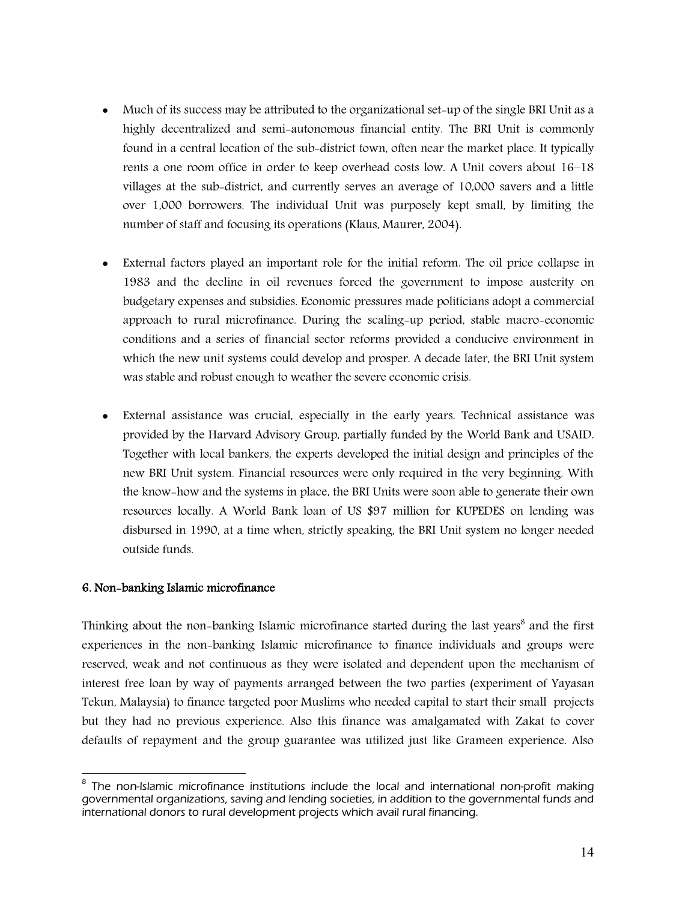- Much of its success may be attributed to the organizational set-up of the single BRI Unit as a highly decentralized and semi-autonomous financial entity. The BRI Unit is commonly found in a central location of the sub-district town, often near the market place. It typically rents a one room office in order to keep overhead costs low. A Unit covers about 16–18 villages at the sub-district, and currently serves an average of 10,000 savers and a little over 1,000 borrowers. The individual Unit was purposely kept small, by limiting the number of staff and focusing its operations (Klaus, Maurer, 2004).
- External factors played an important role for the initial reform. The oil price collapse in 1983 and the decline in oil revenues forced the government to impose austerity on budgetary expenses and subsidies. Economic pressures made politicians adopt a commercial approach to rural microfinance. During the scaling-up period, stable macro-economic conditions and a series of financial sector reforms provided a conducive environment in which the new unit systems could develop and prosper. A decade later, the BRI Unit system was stable and robust enough to weather the severe economic crisis.
- External assistance was crucial, especially in the early years. Technical assistance was provided by the Harvard Advisory Group, partially funded by the World Bank and USAID. Together with local bankers, the experts developed the initial design and principles of the new BRI Unit system. Financial resources were only required in the very beginning. With the know-how and the systems in place, the BRI Units were soon able to generate their own resources locally. A World Bank loan of US \$97 million for KUPEDES on lending was disbursed in 1990, at a time when, strictly speaking, the BRI Unit system no longer needed outside funds.

## **6. Non-banking Islamic microfinance**

Thinking about the non-banking Islamic microfinance started during the last years<sup>8</sup> and the first experiences in the non-banking Islamic microfinance to finance individuals and groups were reserved, weak and not continuous as they were isolated and dependent upon the mechanism of interest free loan by way of payments arranged between the two parties (experiment of Yayasan Tekun, Malaysia) to finance targeted poor Muslims who needed capital to start their small projects but they had no previous experience. Also this finance was amalgamated with Zakat to cover defaults of repayment and the group guarantee was utilized just like Grameen experience. Also

enties and the non-<br><sup>8</sup> The non-Islamic microfinance institutions include the local and international non-profit making governmental organizations, saving and lending societies, in addition to the governmental funds and international donors to rural development projects which avail rural financing.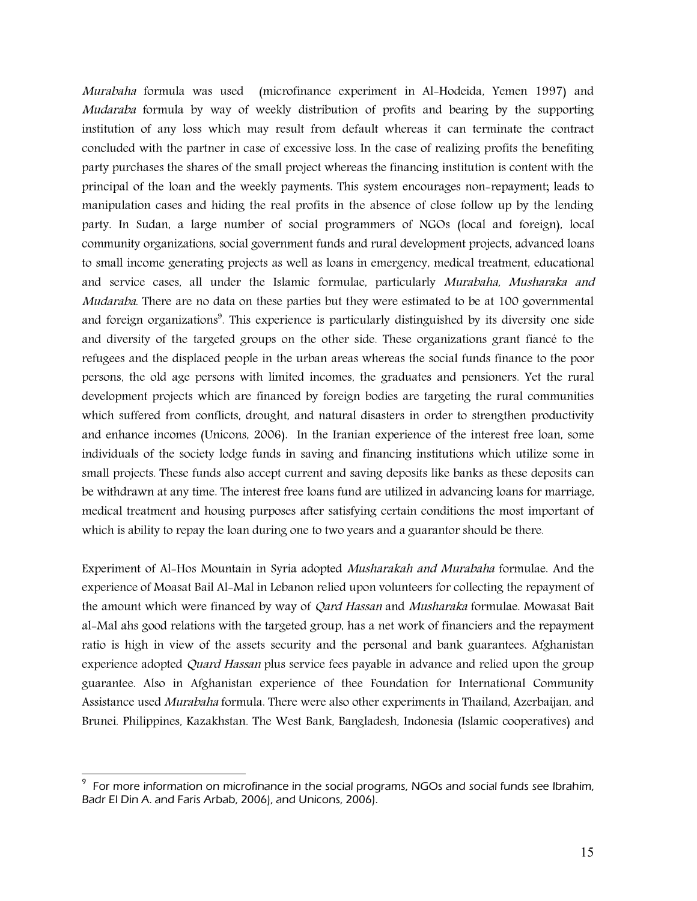*Murabaha* formula was used (microfinance experiment in Al-Hodeida, Yemen 1997) and *Mudaraba* formula by way of weekly distribution of profits and bearing by the supporting institution of any loss which may result from default whereas it can terminate the contract concluded with the partner in case of excessive loss. In the case of realizing profits the benefiting party purchases the shares of the small project whereas the financing institution is content with the principal of the loan and the weekly payments. This system encourages non-repayment; leads to manipulation cases and hiding the real profits in the absence of close follow up by the lending party. In Sudan, a large number of social programmers of NGOs (local and foreign), local community organizations, social government funds and rural development projects, advanced loans to small income generating projects as well as loans in emergency, medical treatment, educational and service cases, all under the Islamic formulae, particularly *Murabaha, Musharaka and Mudaraba*. There are no data on these parties but they were estimated to be at 100 governmental and foreign organizations<sup>9</sup>. This experience is particularly distinguished by its diversity one side and diversity of the targeted groups on the other side. These organizations grant fiancé to the refugees and the displaced people in the urban areas whereas the social funds finance to the poor persons, the old age persons with limited incomes, the graduates and pensioners. Yet the rural development projects which are financed by foreign bodies are targeting the rural communities which suffered from conflicts, drought, and natural disasters in order to strengthen productivity and enhance incomes (Unicons, 2006). In the Iranian experience of the interest free loan, some individuals of the society lodge funds in saving and financing institutions which utilize some in small projects. These funds also accept current and saving deposits like banks as these deposits can be withdrawn at any time. The interest free loans fund are utilized in advancing loans for marriage, medical treatment and housing purposes after satisfying certain conditions the most important of which is ability to repay the loan during one to two years and a guarantor should be there.

Experiment of Al-Hos Mountain in Syria adopted *Musharakah and Murabaha* formulae. And the experience of Moasat Bail Al-Mal in Lebanon relied upon volunteers for collecting the repayment of the amount which were financed by way of *Qard Hassan* and *Musharaka* formulae. Mowasat Bait al-Mal ahs good relations with the targeted group, has a net work of financiers and the repayment ratio is high in view of the assets security and the personal and bank guarantees. Afghanistan experience adopted *Quard Hassan* plus service fees payable in advance and relied upon the group guarantee. Also in Afghanistan experience of thee Foundation for International Community Assistance used *Murabaha* formula. There were also other experiments in Thailand, Azerbaijan, and Brunei. Philippines, Kazakhstan. The West Bank, Bangladesh, Indonesia (Islamic cooperatives) and

 $\overline{\phantom{a}}$ 

<sup>9</sup> For more information on microfinance in the social programs, NGOs and social funds see Ibrahim, Badr El Din A. and Faris Arbab, 2006), and Unicons, 2006).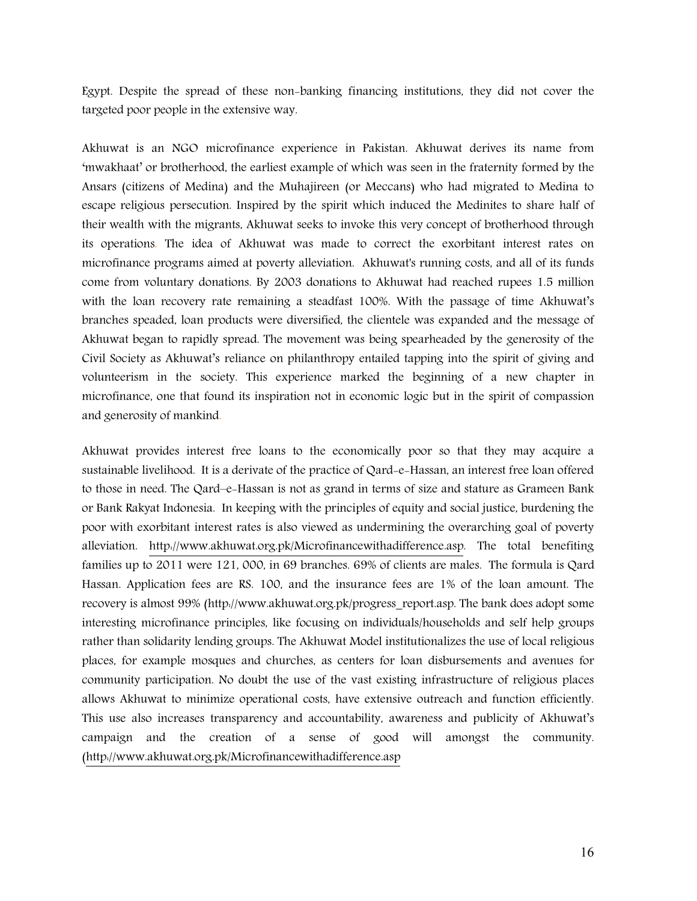Egypt. Despite the spread of these non-banking financing institutions, they did not cover the targeted poor people in the extensive way.

Akhuwat is an NGO microfinance experience in Pakistan. Akhuwat derives its name from 'mwakhaat' or brotherhood, the earliest example of which was seen in the fraternity formed by the Ansars (citizens of Medina) and the Muhajireen (or Meccans) who had migrated to Medina to escape religious persecution. Inspired by the spirit which induced the Medinites to share half of their wealth with the migrants, Akhuwat seeks to invoke this very concept of brotherhood through its operations. The idea of Akhuwat was made to correct the exorbitant interest rates on microfinance programs aimed at poverty alleviation. Akhuwat's running costs, and all of its funds come from voluntary donations. By 2003 donations to Akhuwat had reached rupees 1.5 million with the loan recovery rate remaining a steadfast 100%. With the passage of time Akhuwat's branches speaded, loan products were diversified, the clientele was expanded and the message of Akhuwat began to rapidly spread. The movement was being spearheaded by the generosity of the Civil Society as Akhuwat's reliance on philanthropy entailed tapping into the spirit of giving and volunteerism in the society. This experience marked the beginning of a new chapter in microfinance, one that found its inspiration not in economic logic but in the spirit of compassion and generosity of mankind.

Akhuwat provides interest free loans to the economically poor so that they may acquire a sustainable livelihood. It is a derivate of the practice of Qard-e-Hassan, an interest free loan offered to those in need. The Qard–e-Hassan is not as grand in terms of size and stature as Grameen Bank or Bank Rakyat Indonesia. In keeping with the principles of equity and social justice, burdening the poor with exorbitant interest rates is also viewed as undermining the overarching goal of poverty alleviation. http://www.akhuwat.org.pk/Microfinancewithadifference.asp. The total benefiting families up to 2011 were 121, 000, in 69 branches. 69% of clients are males. The formula is Qard Hassan. Application fees are RS. 100, and the insurance fees are 1% of the loan amount. The recovery is almost 99% (http://www.akhuwat.org.pk/progress\_report.asp. The bank does adopt some interesting microfinance principles, like focusing on individuals/households and self help groups rather than solidarity lending groups. The Akhuwat Model institutionalizes the use of local religious places, for example mosques and churches, as centers for loan disbursements and avenues for community participation. No doubt the use of the vast existing infrastructure of religious places allows Akhuwat to minimize operational costs, have extensive outreach and function efficiently. This use also increases transparency and accountability, awareness and publicity of Akhuwat's campaign and the creation of a sense of good will amongst the community. (http://www.akhuwat.org.pk/Microfinancewithadifference.asp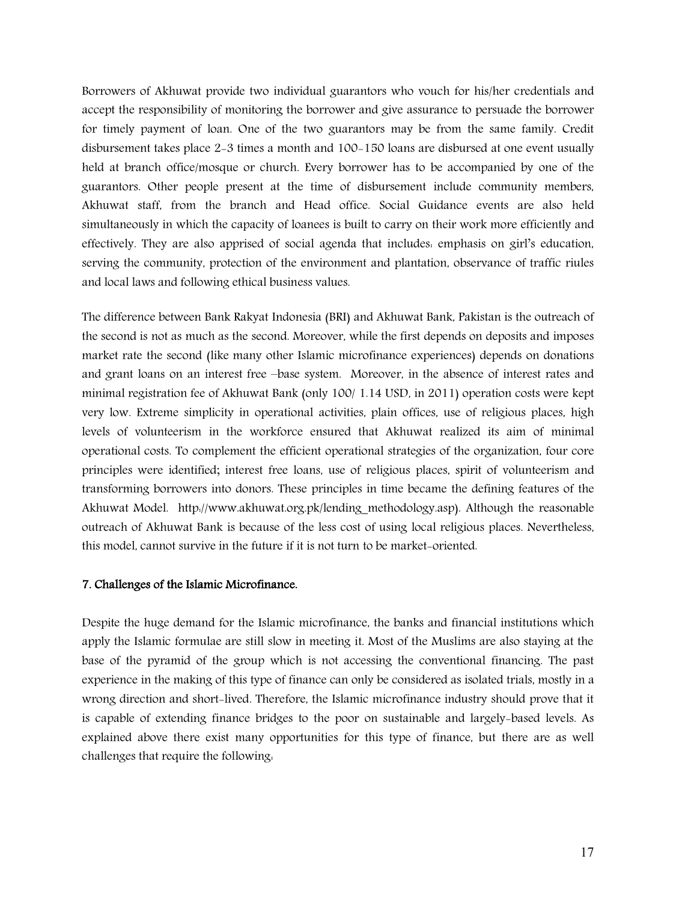Borrowers of Akhuwat provide two individual guarantors who vouch for his/her credentials and accept the responsibility of monitoring the borrower and give assurance to persuade the borrower for timely payment of loan. One of the two guarantors may be from the same family. Credit disbursement takes place 2-3 times a month and 100-150 loans are disbursed at one event usually held at branch office/mosque or church. Every borrower has to be accompanied by one of the guarantors. Other people present at the time of disbursement include community members, Akhuwat staff, from the branch and Head office. Social Guidance events are also held simultaneously in which the capacity of loanees is built to carry on their work more efficiently and effectively. They are also apprised of social agenda that includes: emphasis on girl's education, serving the community, protection of the environment and plantation, observance of traffic riules and local laws and following ethical business values.

The difference between Bank Rakyat Indonesia (BRI) and Akhuwat Bank, Pakistan is the outreach of the second is not as much as the second. Moreover, while the first depends on deposits and imposes market rate the second (like many other Islamic microfinance experiences) depends on donations and grant loans on an interest free –base system. Moreover, in the absence of interest rates and minimal registration fee of Akhuwat Bank (only 100/ 1.14 USD, in 2011) operation costs were kept very low. Extreme simplicity in operational activities, plain offices, use of religious places, high levels of volunteerism in the workforce ensured that Akhuwat realized its aim of minimal operational costs. To complement the efficient operational strategies of the organization, four core principles were identified; interest free loans, use of religious places, spirit of volunteerism and transforming borrowers into donors. These principles in time became the defining features of the Akhuwat Model. http://www.akhuwat.org.pk/lending\_methodology.asp). Although the reasonable outreach of Akhuwat Bank is because of the less cost of using local religious places. Nevertheless, this model, cannot survive in the future if it is not turn to be market-oriented.

## **7. Challenges of the Islamic Microfinance.**

Despite the huge demand for the Islamic microfinance, the banks and financial institutions which apply the Islamic formulae are still slow in meeting it. Most of the Muslims are also staying at the base of the pyramid of the group which is not accessing the conventional financing. The past experience in the making of this type of finance can only be considered as isolated trials, mostly in a wrong direction and short-lived. Therefore, the Islamic microfinance industry should prove that it is capable of extending finance bridges to the poor on sustainable and largely-based levels. As explained above there exist many opportunities for this type of finance, but there are as well challenges that require the following: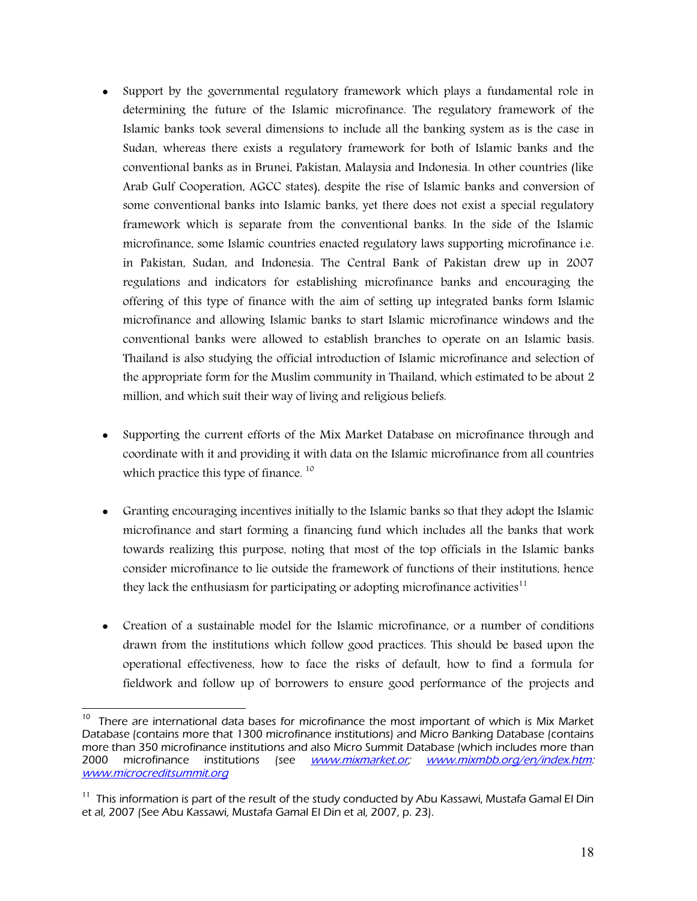- Support by the governmental regulatory framework which plays a fundamental role in determining the future of the Islamic microfinance. The regulatory framework of the Islamic banks took several dimensions to include all the banking system as is the case in Sudan, whereas there exists a regulatory framework for both of Islamic banks and the conventional banks as in Brunei, Pakistan, Malaysia and Indonesia. In other countries (like Arab Gulf Cooperation, AGCC states), despite the rise of Islamic banks and conversion of some conventional banks into Islamic banks, yet there does not exist a special regulatory framework which is separate from the conventional banks. In the side of the Islamic microfinance, some Islamic countries enacted regulatory laws supporting microfinance i.e. in Pakistan, Sudan, and Indonesia. The Central Bank of Pakistan drew up in 2007 regulations and indicators for establishing microfinance banks and encouraging the offering of this type of finance with the aim of setting up integrated banks form Islamic microfinance and allowing Islamic banks to start Islamic microfinance windows and the conventional banks were allowed to establish branches to operate on an Islamic basis. Thailand is also studying the official introduction of Islamic microfinance and selection of the appropriate form for the Muslim community in Thailand, which estimated to be about 2 million, and which suit their way of living and religious beliefs.
- Supporting the current efforts of the Mix Market Database on microfinance through and coordinate with it and providing it with data on the Islamic microfinance from all countries which practice this type of finance.<sup>10</sup>
- Granting encouraging incentives initially to the Islamic banks so that they adopt the Islamic microfinance and start forming a financing fund which includes all the banks that work towards realizing this purpose, noting that most of the top officials in the Islamic banks consider microfinance to lie outside the framework of functions of their institutions, hence they lack the enthusiasm for participating or adopting microfinance activities<sup>11</sup>
- Creation of a sustainable model for the Islamic microfinance, or a number of conditions drawn from the institutions which follow good practices. This should be based upon the operational effectiveness, how to face the risks of default, how to find a formula for fieldwork and follow up of borrowers to ensure good performance of the projects and

<sup>10&</sup>lt;br>10 There are international data bases for microfinance the most important of which is Mix Market Database (contains more that 1300 microfinance institutions) and Micro Banking Database (contains more than 350 microfinance institutions and also Micro Summit Database (which includes more than 2000 microfinance institutions (see *www.mixmarket.or; www.mixmbb.org/en/index.htm: www.microcreditsummit.org*

<sup>&</sup>lt;sup>11</sup> This information is part of the result of the study conducted by Abu Kassawi, Mustafa Gamal El Din et al, 2007 (See Abu Kassawi, Mustafa Gamal El Din et al, 2007, p. 23).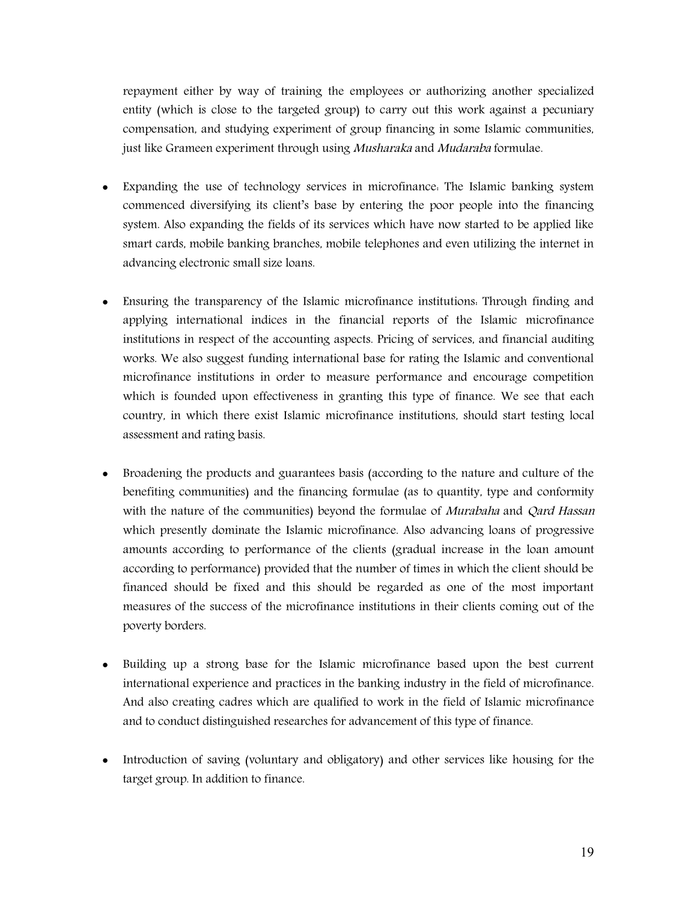repayment either by way of training the employees or authorizing another specialized entity (which is close to the targeted group) to carry out this work against a pecuniary compensation, and studying experiment of group financing in some Islamic communities, just like Grameen experiment through using *Musharaka* and *Mudaraba* formulae.

- Expanding the use of technology services in microfinance: The Islamic banking system commenced diversifying its client's base by entering the poor people into the financing system. Also expanding the fields of its services which have now started to be applied like smart cards, mobile banking branches, mobile telephones and even utilizing the internet in advancing electronic small size loans.
- Ensuring the transparency of the Islamic microfinance institutions: Through finding and applying international indices in the financial reports of the Islamic microfinance institutions in respect of the accounting aspects. Pricing of services, and financial auditing works. We also suggest funding international base for rating the Islamic and conventional microfinance institutions in order to measure performance and encourage competition which is founded upon effectiveness in granting this type of finance. We see that each country, in which there exist Islamic microfinance institutions, should start testing local assessment and rating basis.
- Broadening the products and guarantees basis (according to the nature and culture of the benefiting communities) and the financing formulae (as to quantity, type and conformity with the nature of the communities) beyond the formulae of *Murabaha* and *Qard Hassan* which presently dominate the Islamic microfinance. Also advancing loans of progressive amounts according to performance of the clients (gradual increase in the loan amount according to performance) provided that the number of times in which the client should be financed should be fixed and this should be regarded as one of the most important measures of the success of the microfinance institutions in their clients coming out of the poverty borders.
- Building up a strong base for the Islamic microfinance based upon the best current international experience and practices in the banking industry in the field of microfinance. And also creating cadres which are qualified to work in the field of Islamic microfinance and to conduct distinguished researches for advancement of this type of finance.
- Introduction of saving (voluntary and obligatory) and other services like housing for the target group. In addition to finance.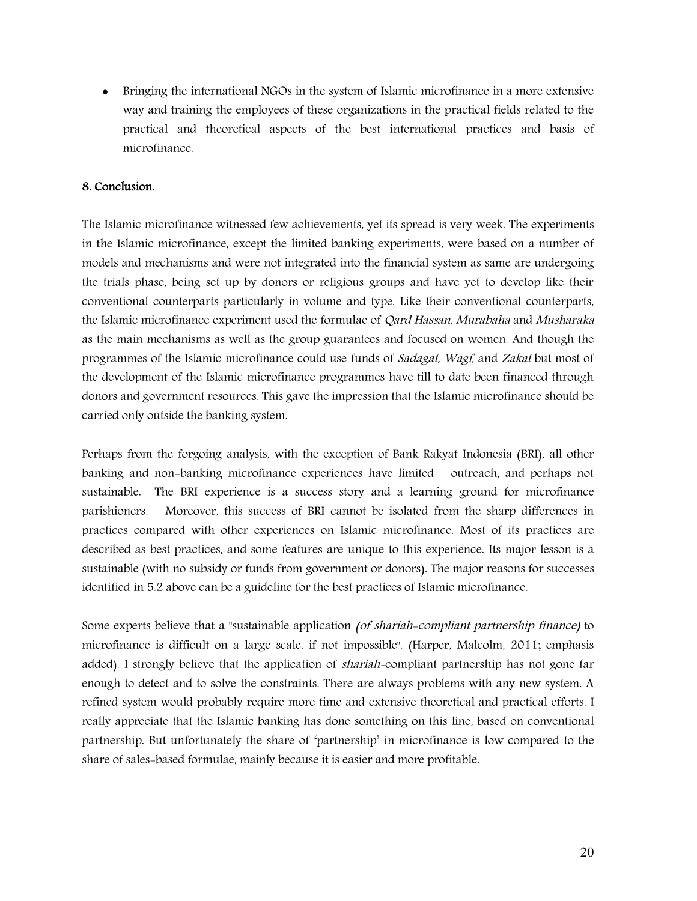Bringing the international NGOs in the system of Islamic microfinance in a more extensive way and training the employees of these organizations in the practical fields related to the practical and theoretical aspects of the best international practices and basis of microfinance.

## **8. Conclusion.**

The Islamic microfinance witnessed few achievements, yet its spread is very week. The experiments in the Islamic microfinance, except the limited banking experiments, were based on a number of models and mechanisms and were not integrated into the financial system as same are undergoing the trials phase, being set up by donors or religious groups and have yet to develop like their conventional counterparts particularly in volume and type. Like their conventional counterparts, the Islamic microfinance experiment used the formulae of *Qard Hassan*, *Murabaha* and *Musharaka* as the main mechanisms as well as the group guarantees and focused on women. And though the programmes of the Islamic microfinance could use funds of *Sadagat, Wagf*, and *Zakat* but most of the development of the Islamic microfinance programmes have till to date been financed through donors and government resources. This gave the impression that the Islamic microfinance should be carried only outside the banking system.

Perhaps from the forgoing analysis, with the exception of Bank Rakyat Indonesia (BRI), all other banking and non-banking microfinance experiences have limited outreach, and perhaps not sustainable. The BRI experience is a success story and a learning ground for microfinance parishioners. Moreover, this success of BRI cannot be isolated from the sharp differences in practices compared with other experiences on Islamic microfinance. Most of its practices are described as best practices, and some features are unique to this experience. Its major lesson is a sustainable (with no subsidy or funds from government or donors). The major reasons for successes identified in 5.2 above can be a guideline for the best practices of Islamic microfinance.

Some experts believe that a "sustainable application *(of shariah-compliant partnership finance)* to microfinance is difficult on a large scale, if not impossible". (Harper, Malcolm, 2011; emphasis added). I strongly believe that the application of *shariah-*compliant partnership has not gone far enough to detect and to solve the constraints. There are always problems with any new system. A refined system would probably require more time and extensive theoretical and practical efforts. I really appreciate that the Islamic banking has done something on this line, based on conventional partnership. But unfortunately the share of 'partnership' in microfinance is low compared to the share of sales-based formulae, mainly because it is easier and more profitable.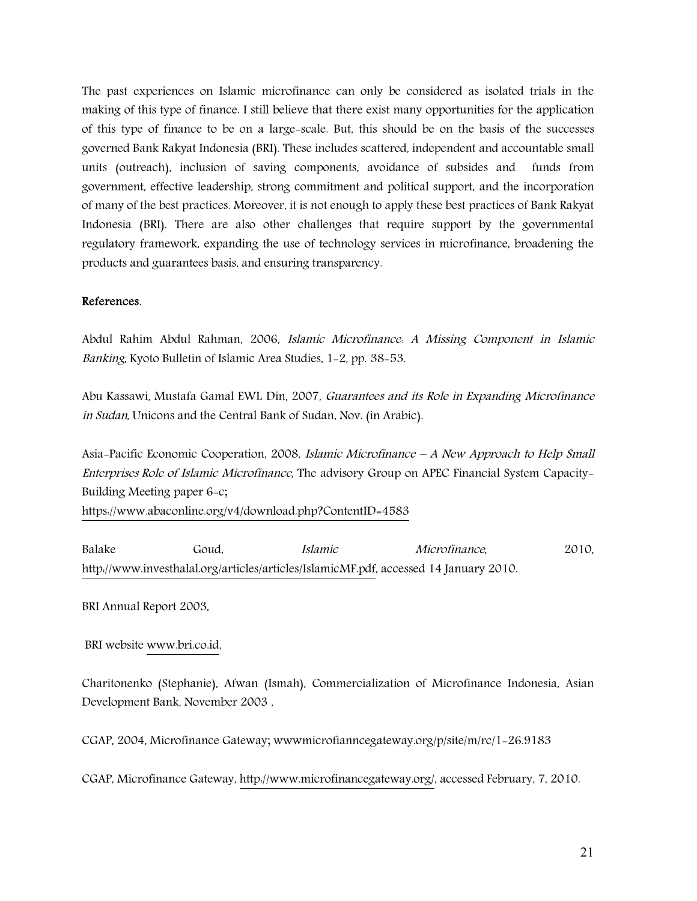The past experiences on Islamic microfinance can only be considered as isolated trials in the making of this type of finance. I still believe that there exist many opportunities for the application of this type of finance to be on a large-scale. But, this should be on the basis of the successes governed Bank Rakyat Indonesia (BRI). These includes scattered, independent and accountable small units (outreach), inclusion of saving components, avoidance of subsides and funds from government, effective leadership, strong commitment and political support, and the incorporation of many of the best practices. Moreover, it is not enough to apply these best practices of Bank Rakyat Indonesia (BRI). There are also other challenges that require support by the governmental regulatory framework, expanding the use of technology services in microfinance, broadening the products and guarantees basis, and ensuring transparency.

#### **References.**

Abdul Rahim Abdul Rahman, 2006, *Islamic Microfinance: A Missing Component in Islamic Banking*, Kyoto Bulletin of Islamic Area Studies, 1-2, pp. 38-53.

Abu Kassawi, Mustafa Gamal EWL Din, 2007, *Guarantees and its Role in Expanding Microfinance in Sudan*, Unicons and the Central Bank of Sudan, Nov. (in Arabic).

Asia-Pacific Economic Cooperation, 2008, *Islamic Microfinance – A New Approach to Help Small Enterprises Role of Islamic Microfinance*, The advisory Group on APEC Financial System Capacity-Building Meeting paper 6-c; https://www.abaconline.org/v4/download.php?ContentID=4583

Balake Goud, *Islamic Microfinance*, 2010, http://www.investhalal.org/articles/articles/IslamicMF.pdf, accessed 14 January 2010.

BRI Annual Report 2003,

BRI website www.bri.co.id,

Charitonenko (Stephanie), Afwan (Ismah), Commercialization of Microfinance Indonesia, Asian Development Bank, November 2003 ,

CGAP, 2004, Microfinance Gateway; wwwmicrofianncegateway.org/p/site/m/rc/1-26.9183

CGAP, Microfinance Gateway, http://www.microfinancegateway.org/, accessed February, 7, 2010.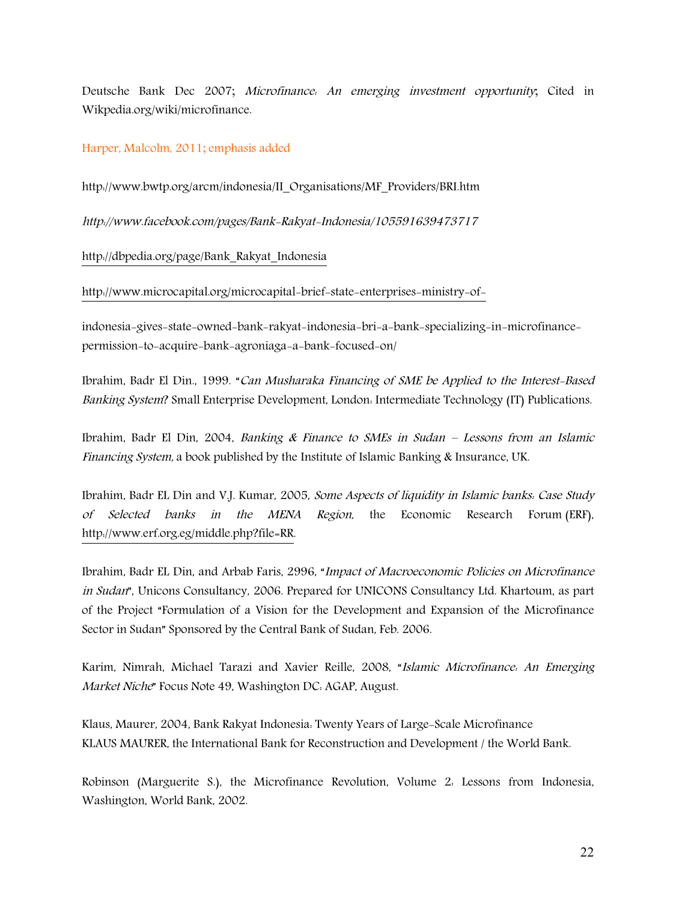Deutsche Bank Dec 2007; *Microfinance: An emerging investment opportunity*; Cited in Wikpedia.org/wiki/microfinance.

#### Harper, Malcolm, 2011; emphasis added

http://www.bwtp.org/arcm/indonesia/II\_Organisations/MF\_Providers/BRI.htm

*http://www.facebook.com/pages/Bank-Rakyat-Indonesia/105591639473717*

http://dbpedia.org/page/Bank\_Rakyat\_Indonesia

http://www.microcapital.org/microcapital-brief-state-enterprises-ministry-of-

indonesia-gives-state-owned-bank-rakyat-indonesia-bri-a-bank-specializing-in-microfinancepermission-to-acquire-bank-agroniaga-a-bank-focused-on/

Ibrahim, Badr El Din., 1999. "*Can Musharaka Financing of SME be Applied to the Interest-Based Banking System*? Small Enterprise Development, London: Intermediate Technology (IT) Publications.

Ibrahim, Badr El Din, 2004, *Banking & Finance to SMEs in Sudan – Lessons from an Islamic Financing System,* a book published by the Institute of Islamic Banking & Insurance, UK.

Ibrahim, Badr EL Din and V.J. Kumar, 2005, *Some Aspects of liquidity in Islamic banks: Case Study of Selected banks in the MENA Region,* the Economic Research Forum (ERF), http://www.erf.org.eg/middle.php?file=RR.

Ibrahim, Badr EL Din, and Arbab Faris, 2996, "*Impact of Macroeconomic Policies on Microfinance in Sudan*", Unicons Consultancy, 2006. Prepared for UNICONS Consultancy Ltd. Khartoum, as part of the Project "Formulation of a Vision for the Development and Expansion of the Microfinance Sector in Sudan" Sponsored by the Central Bank of Sudan, Feb. 2006.

Karim, Nimrah, Michael Tarazi and Xavier Reille, 2008, "*Islamic Microfinance: An Emerging Market Niche*" Focus Note 49, Washington DC: AGAP, August.

Klaus, Maurer, 2004, Bank Rakyat Indonesia: Twenty Years of Large-Scale Microfinance KLAUS MAURER, the International Bank for Reconstruction and Development / the World Bank.

Robinson (Marguerite S.), the Microfinance Revolution, Volume 2: Lessons from Indonesia, Washington, World Bank, 2002.